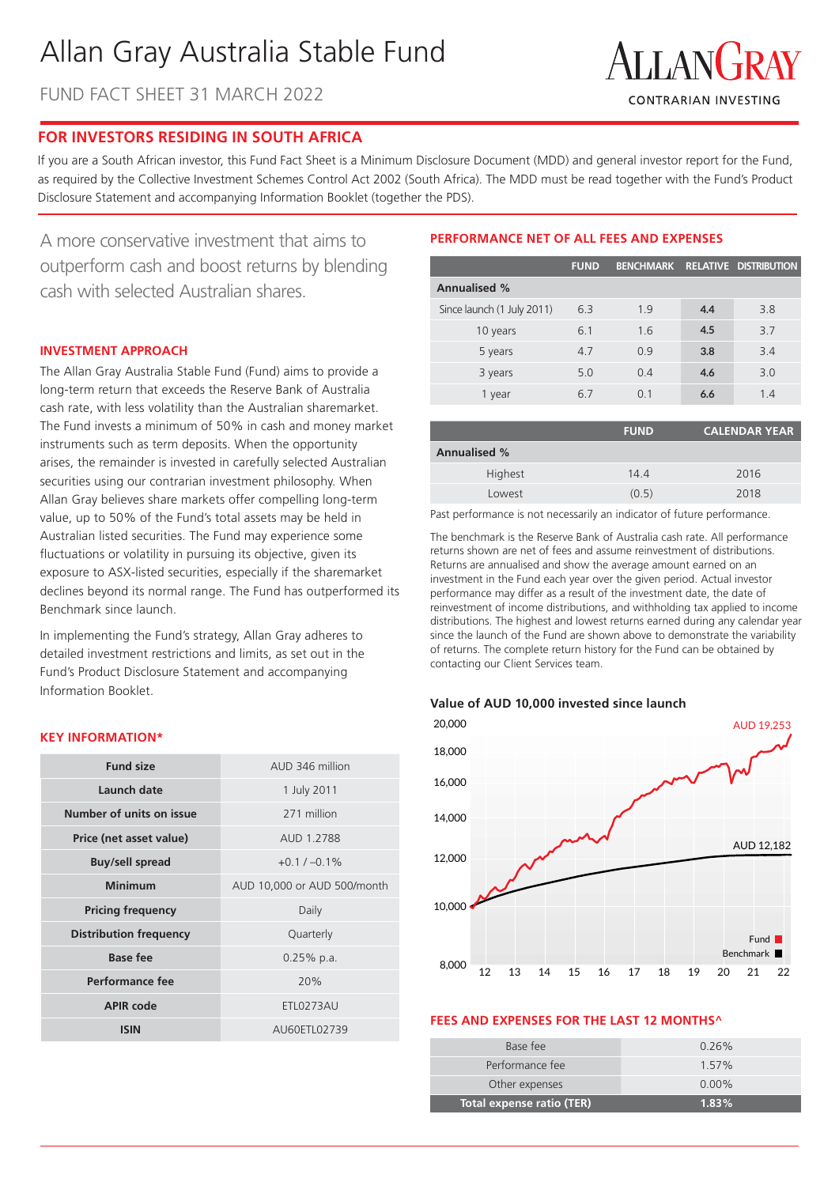# Allan Gray Australia Stable Fund

FUND FACT SHEET 31 MARCH 2022



# **FOR INVESTORS RESIDING IN SOUTH AFRICA**

If you are a South African investor, this Fund Fact Sheet is a Minimum Disclosure Document (MDD) and general investor report for the Fund, as required by the Collective Investment Schemes Control Act 2002 (South Africa). The MDD must be read together with the Fund's Product Disclosure Statement and accompanying Information Booklet (together the PDS).

A more conservative investment that aims to outperform cash and boost returns by blending cash with selected Australian shares.

# **INVESTMENT APPROACH**

The Allan Gray Australia Stable Fund (Fund) aims to provide a long-term return that exceeds the Reserve Bank of Australia cash rate, with less volatility than the Australian sharemarket. The Fund invests a minimum of 50% in cash and money market instruments such as term deposits. When the opportunity arises, the remainder is invested in carefully selected Australian securities using our contrarian investment philosophy. When Allan Gray believes share markets offer compelling long-term value, up to 50% of the Fund's total assets may be held in Australian listed securities. The Fund may experience some fluctuations or volatility in pursuing its objective, given its exposure to ASX-listed securities, especially if the sharemarket declines beyond its normal range. The Fund has outperformed its Benchmark since launch.

In implementing the Fund's strategy, Allan Gray adheres to detailed investment restrictions and limits, as set out in the Fund's Product Disclosure Statement and accompanying Information Booklet.

## **KEY INFORMATION\***

| <b>Fund size</b>              | AUD 346 million             |  |  |  |
|-------------------------------|-----------------------------|--|--|--|
| Launch date                   | 1 July 2011                 |  |  |  |
| Number of units on issue      | 271 million                 |  |  |  |
| Price (net asset value)       | AUD 1.2788                  |  |  |  |
| <b>Buy/sell spread</b>        | $+0.1 / -0.1\%$             |  |  |  |
| <b>Minimum</b>                | AUD 10,000 or AUD 500/month |  |  |  |
| <b>Pricing frequency</b>      | Daily                       |  |  |  |
| <b>Distribution frequency</b> | Quarterly                   |  |  |  |
| <b>Base fee</b>               | $0.25%$ p.a.                |  |  |  |
| Performance fee               | 20%                         |  |  |  |
| <b>APIR code</b>              | <b>ETL0273AU</b>            |  |  |  |
| <b>ISIN</b>                   | AU60ETL02739                |  |  |  |

# **PERFORMANCE NET OF ALL FEES AND EXPENSES**

|                            | <b>FUND</b> | <b>BENCHMARK</b> |     | RELATIVE DISTRIBUTION |
|----------------------------|-------------|------------------|-----|-----------------------|
| <b>Annualised %</b>        |             |                  |     |                       |
| Since launch (1 July 2011) | 6.3         | 19               | 4.4 | 3.8                   |
| 10 years                   | 6.1         | 1.6              | 4.5 | 3.7                   |
| 5 years                    | 4.7         | 0.9              | 3.8 | 3.4                   |
| 3 years                    | 5.0         | 0.4              | 4.6 | 3.0                   |
| 1 year                     | 67          | O 1              | 6.6 | 1.4                   |

|                     | <b>FUND</b> | <b>CALENDAR YEAR</b> |
|---------------------|-------------|----------------------|
| <b>Annualised %</b> |             |                      |
| Highest             | 144         | 2016                 |
| Lowest              | (0.5)       | 2018                 |

Past performance is not necessarily an indicator of future performance.

The benchmark is the Reserve Bank of Australia cash rate. All performance returns shown are net of fees and assume reinvestment of distributions. Returns are annualised and show the average amount earned on an investment in the Fund each year over the given period. Actual investor performance may differ as a result of the investment date, the date of reinvestment of income distributions, and withholding tax applied to income distributions. The highest and lowest returns earned during any calendar year since the launch of the Fund are shown above to demonstrate the variability of returns. The complete return history for the Fund can be obtained by contacting our Client Services team.

#### **Value of AUD 10,000 invested since launch**



#### **FEES AND EXPENSES FOR THE LAST 12 MONTHS^**

| Total expense ratio (TER) | 1.83%    |
|---------------------------|----------|
| Other expenses            | $0.00\%$ |
| Performance fee           | 1 57%    |
| Base fee                  | $0.26\%$ |
|                           |          |